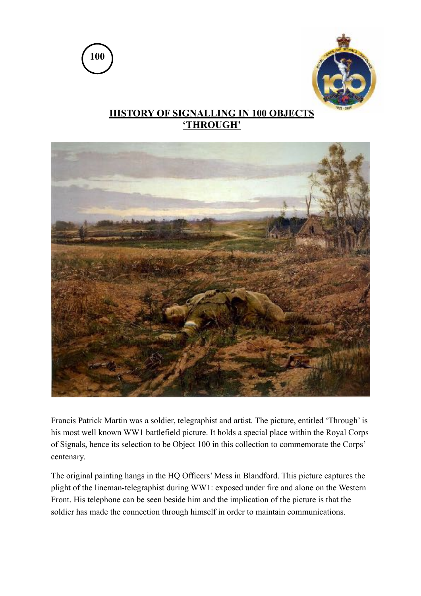



## **HISTORY OF SIGNALLING IN 100 OBJECTS 'THROUGH'**



Francis Patrick Martin was a soldier, telegraphist and artist. The picture, entitled 'Through' is his most well known WW1 battlefield picture. It holds a special place within the Royal Corps of Signals, hence its selection to be Object 100 in this collection to commemorate the Corps' centenary.

The original painting hangs in the HQ Officers' Mess in Blandford. This picture captures the plight of the lineman-telegraphist during WW1: exposed under fire and alone on the Western Front. His telephone can be seen beside him and the implication of the picture is that the soldier has made the connection through himself in order to maintain communications.